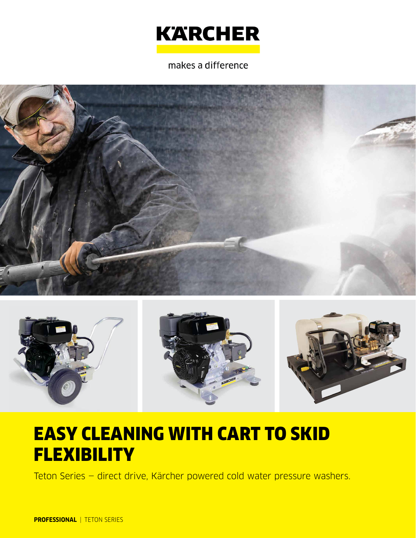# **KARCHER**

makes a difference





## EASY CLEANING WITH CART TO SKID **FLEXIBILITY**

Teton Series — direct drive, Kärcher powered cold water pressure washers.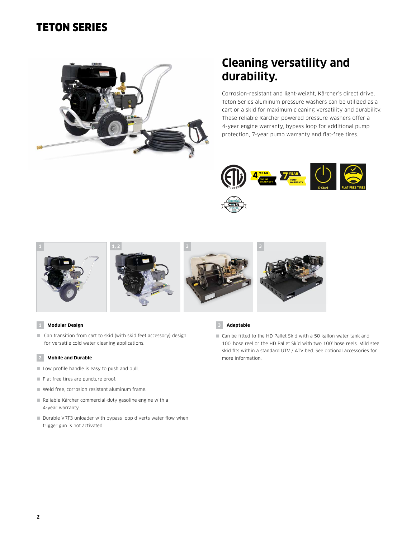### TETON SERIES



### **Cleaning versatility and durability.**

Corrosion-resistant and light-weight, Kärcher's direct drive, Teton Series aluminum pressure washers can be utilized as a cart or a skid for maximum cleaning versatility and durability. These reliable Kärcher powered pressure washers offer a 4-year engine warranty, bypass loop for additional pump protection, 7-year pump warranty and flat-free tires.











### **1 Modular Design**

■ Can transition from cart to skid (with skid feet accessory) design for versatile cold water cleaning applications.

#### **2 Mobile and Durable**

- Low profile handle is easy to push and pull.
- Flat free tires are puncture proof.
- Weld free, corrosion resistant aluminum frame.
- Reliable Kärcher commercial-duty gasoline engine with a 4-year warranty.
- Durable VRT3 unloader with bypass loop diverts water flow when trigger gun is not activated.



■ Can be fitted to the HD Pallet Skid with a 50 gallon water tank and 100' hose reel or the HD Pallet Skid with two 100' hose reels. Mild steel skid fits within a standard UTV / ATV bed. See optional accessories for more information.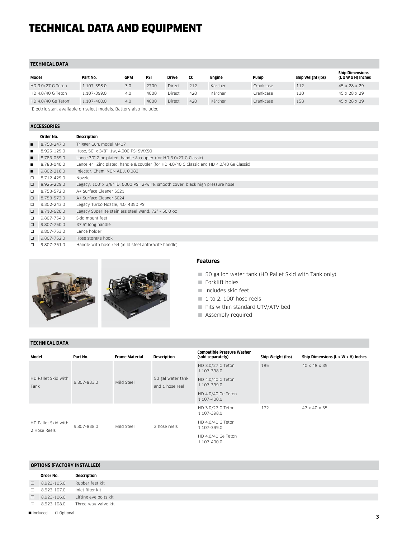### TECHNICAL DATA AND EQUIPMENT

### **TECHNICAL DATA**

| Model               | Part No.    | GPM | PSI  | Drive  | cc  | Engine  | Pump      | Ship Weight (lbs) | <b>Ship Dimensions</b><br>(L x W x H) Inches |
|---------------------|-------------|-----|------|--------|-----|---------|-----------|-------------------|----------------------------------------------|
| HD 3.0/27 G Teton   | 1.107-398.0 | 3.0 | 2700 | Direct | 212 | Kärcher | Crankcase | 112               | 45 x 28 x 29                                 |
| HD 4.0/40 G Teton   | 1.107-399.0 | 4.0 | 4000 | Direct | 420 | Kärcher | Crankcase | 130               | 45 x 28 x 29                                 |
| HD 4.0/40 Ge Teton* | 1.107-400.0 | 4.0 | 4000 | Direct | 420 | Kärcher | Crankcase | 158               | 45 x 28 x 29                                 |
|                     |             |     | .    |        |     |         |           |                   |                                              |

\*Electric start available on select models. Battery also included.

### **ACCESSORIES**

|                | Order No.   | Description                                                                                |
|----------------|-------------|--------------------------------------------------------------------------------------------|
|                | 8.750-247.0 | Trigger Gun, model M407                                                                    |
|                | 8.925-129.0 | Hose, 50' x 3/8", 1w, 4,000 PSI SWXSO                                                      |
|                | 8.783-039.0 | Lance 30" Zinc plated, handle & coupler (for HD 3.0/27 G Classic)                          |
|                | 8.783-040.0 | Lance 44" Zinc plated, handle & coupler (for HD 4.0/40 G Classic and HD 4.0/40 Ge Classic) |
| $\blacksquare$ | 9.802-216.0 | Injector, Chem, NON ADJ, 0.083                                                             |
| $\Box$         | 8.712-429.0 | Nozzle                                                                                     |
| $\Box$         | 8.925-229.0 | Legacy, 100' x 3/8" ID, 6000 PSI, 2-wire, smooth cover, black high pressure hose           |
| $\Box$         | 8.753-572.0 | A+ Surface Cleaner SC21                                                                    |
| $\Box$         | 8.753-573.0 | A+ Surface Cleaner SC24                                                                    |
| □              | 9.302-243.0 | Legacy Turbo Nozzle, 4.0, 4350 PSI                                                         |
| $\Box$         | 8.710-620.0 | Legacy Superlite stainless steel wand, 72" - 56.0 oz                                       |
| $\Box$         | 9.807-754.0 | Skid mount feet                                                                            |
| $\Box$         | 9.807-750.0 | 37.5" long handle                                                                          |
| $\Box$         | 9.807-753.0 | Lance holder                                                                               |
| $\Box$         | 9.807-752.0 | Hose storage hook                                                                          |
|                |             |                                                                                            |





### **Features**

- 50 gallon water tank (HD Pallet Skid with Tank only)
- Forklift holes
- Includes skid feet
- $1$  to 2, 100' hose reels
- Fits within standard UTV/ATV bed
- **Assembly required**

### **TECHNICAL DATA**

| Model                               | Part No.    | <b>Frame Material</b> | Description                          | <b>Compatible Pressure Washer</b><br>(sold separately) | Ship Weight (lbs) | Ship Dimensions (L x W x H) Inches |
|-------------------------------------|-------------|-----------------------|--------------------------------------|--------------------------------------------------------|-------------------|------------------------------------|
|                                     |             | Mild Steel            | 50 gal water tank<br>and 1 hose reel | HD 3.0/27 G Teton<br>1.107-398.0                       | 185               | 40 x 48 x 35                       |
| HD Pallet Skid with<br>Tank         | 9.807-833.0 |                       |                                      | HD 4.0/40 G Teton<br>1.107-399.0                       |                   |                                    |
|                                     |             |                       |                                      | HD 4.0/40 Ge Teton<br>1.107-400.0                      |                   |                                    |
|                                     | 9.807-838.0 | Mild Steel            | 2 hose reels                         | HD 3.0/27 G Teton<br>1.107-398.0                       | 172               | 47 x 40 x 35                       |
| HD Pallet Skid with<br>2 Hose Reels |             |                       |                                      | HD 4.0/40 G Teton<br>1.107-399.0                       |                   |                                    |
|                                     |             |                       |                                      | HD 4.0/40 Ge Teton<br>1.107-400.0                      |                   |                                    |

### **OPTIONS (FACTORY INSTALLED)**

| Order No.          | Description           |
|--------------------|-----------------------|
| $\Box$ 8.923-105.0 | Rubber feet kit       |
| $\Box$ 8.923-107.0 | Inlet filter kit      |
| $\Box$ 8.923-106.0 | Lifting eye bolts kit |
| $\Box$ 8.923-108.0 | Three-way valve kit   |